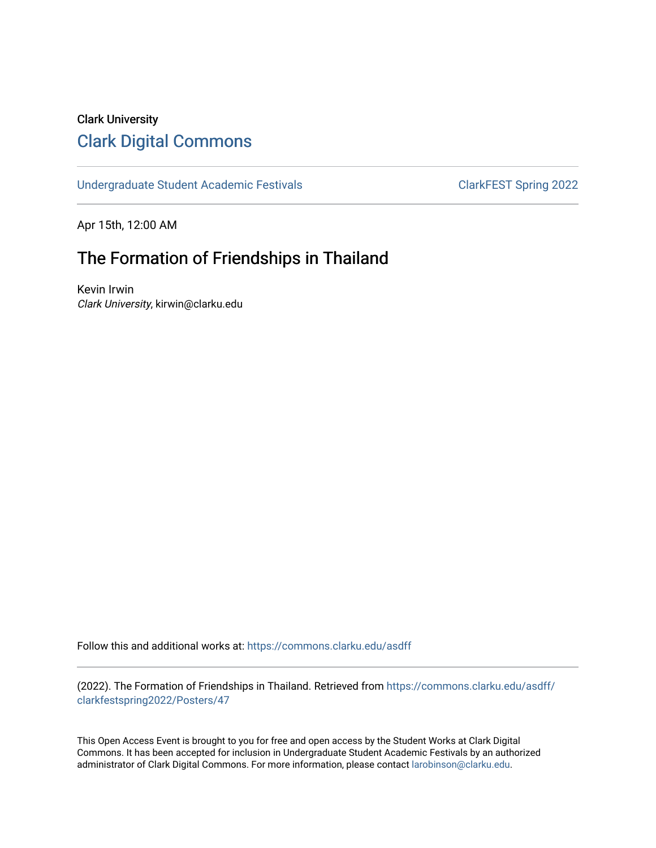## Clark University [Clark Digital Commons](https://commons.clarku.edu/)

[Undergraduate Student Academic Festivals](https://commons.clarku.edu/asdff) ClarkFEST Spring 2022

Apr 15th, 12:00 AM

## The Formation of Friendships in Thailand

Kevin Irwin Clark University, kirwin@clarku.edu

Follow this and additional works at: [https://commons.clarku.edu/asdff](https://commons.clarku.edu/asdff?utm_source=commons.clarku.edu%2Fasdff%2Fclarkfestspring2022%2FPosters%2F47&utm_medium=PDF&utm_campaign=PDFCoverPages)

(2022). The Formation of Friendships in Thailand. Retrieved from [https://commons.clarku.edu/asdff/](https://commons.clarku.edu/asdff/clarkfestspring2022/Posters/47?utm_source=commons.clarku.edu%2Fasdff%2Fclarkfestspring2022%2FPosters%2F47&utm_medium=PDF&utm_campaign=PDFCoverPages) [clarkfestspring2022/Posters/47](https://commons.clarku.edu/asdff/clarkfestspring2022/Posters/47?utm_source=commons.clarku.edu%2Fasdff%2Fclarkfestspring2022%2FPosters%2F47&utm_medium=PDF&utm_campaign=PDFCoverPages)

This Open Access Event is brought to you for free and open access by the Student Works at Clark Digital Commons. It has been accepted for inclusion in Undergraduate Student Academic Festivals by an authorized administrator of Clark Digital Commons. For more information, please contact [larobinson@clarku.edu](mailto:larobinson@clarku.edu).